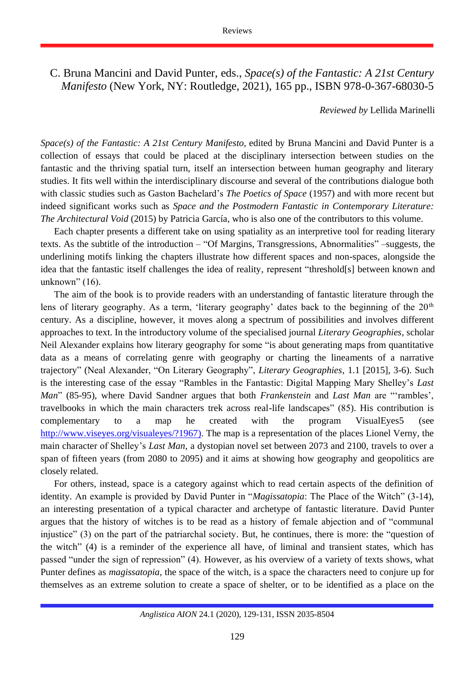C. Bruna Mancini and David Punter, eds., *Space(s) of the Fantastic: A 21st Century Manifesto* (New York, NY: Routledge, 2021), 165 pp., ISBN 978-0-367-68030-5

*Reviewed by* Lellida Marinelli

*Space(s) of the Fantastic: A 21st Century Manifesto,* edited by Bruna Mancini and David Punter is a collection of essays that could be placed at the disciplinary intersection between studies on the fantastic and the thriving spatial turn, itself an intersection between human geography and literary studies. It fits well within the interdisciplinary discourse and several of the contributions dialogue both with classic studies such as Gaston Bachelard's *The Poetics of Space* (1957) and with more recent but indeed significant works such as *Space and the Postmodern Fantastic in Contemporary Literature: The Architectural Void* (2015) by Patricia García, who is also one of the contributors to this volume.

Each chapter presents a different take on using spatiality as an interpretive tool for reading literary texts. As the subtitle of the introduction – "Of Margins, Transgressions, Abnormalities" –suggests, the underlining motifs linking the chapters illustrate how different spaces and non-spaces, alongside the idea that the fantastic itself challenges the idea of reality, represent "threshold[s] between known and unknown" (16).

The aim of the book is to provide readers with an understanding of fantastic literature through the lens of literary geography. As a term, 'literary geography' dates back to the beginning of the  $20<sup>th</sup>$ century. As a discipline, however, it moves along a spectrum of possibilities and involves different approaches to text. In the introductory volume of the specialised journal *Literary Geographies*, scholar Neil Alexander explains how literary geography for some "is about generating maps from quantitative data as a means of correlating genre with geography or charting the lineaments of a narrative trajectory" (Neal Alexander, "On Literary Geography", *Literary Geographies*, 1.1 [2015], 3-6). Such is the interesting case of the essay "Rambles in the Fantastic: Digital Mapping Mary Shelley's *Last Man*" (85-95), where David Sandner argues that both *Frankenstein* and *Last Man* are "'rambles', travelbooks in which the main characters trek across real-life landscapes" (85). His contribution is complementary to a map he created with the program VisualEyes5 (see [http://www.viseyes.org/visualeyes/?1967\)](http://www.viseyes.org/visualeyes/?1967). The map is a representation of the places Lionel Verny, the main character of Shelley's *Last Man*, a dystopian novel set between 2073 and 2100, travels to over a span of fifteen years (from 2080 to 2095) and it aims at showing how geography and geopolitics are closely related.

For others, instead, space is a category against which to read certain aspects of the definition of identity. An example is provided by David Punter in "*Magissatopia*: The Place of the Witch" (3-14), an interesting presentation of a typical character and archetype of fantastic literature. David Punter argues that the history of witches is to be read as a history of female abjection and of "communal injustice" (3) on the part of the patriarchal society. But, he continues, there is more: the "question of the witch" (4) is a reminder of the experience all have, of liminal and transient states, which has passed "under the sign of repression" (4). However, as his overview of a variety of texts shows, what Punter defines as *magissatopia*, the space of the witch, is a space the characters need to conjure up for themselves as an extreme solution to create a space of shelter, or to be identified as a place on the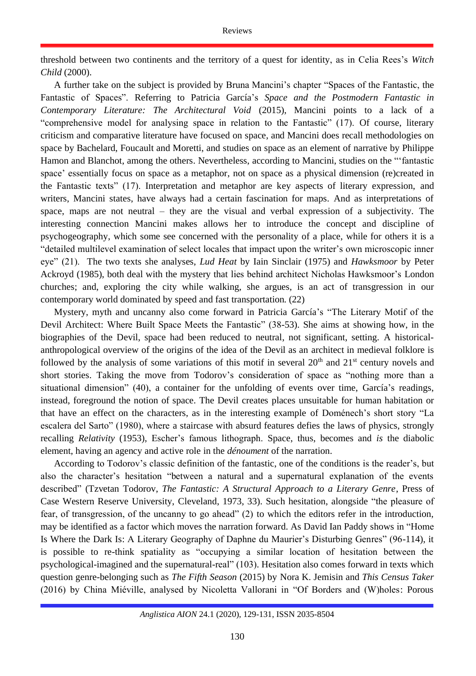threshold between two continents and the territory of a quest for identity, as in Celia Rees's *Witch Child* (2000).

A further take on the subject is provided by Bruna Mancini's chapter "Spaces of the Fantastic, the Fantastic of Spaces". Referring to Patricia García's *Space and the Postmodern Fantastic in Contemporary Literature: The Architectural Void* (2015), Mancini points to a lack of a "comprehensive model for analysing space in relation to the Fantastic" (17). Of course, literary criticism and comparative literature have focused on space, and Mancini does recall methodologies on space by Bachelard, Foucault and Moretti, and studies on space as an element of narrative by Philippe Hamon and Blanchot, among the others. Nevertheless, according to Mancini, studies on the "'fantastic space' essentially focus on space as a metaphor, not on space as a physical dimension (re)created in the Fantastic texts" (17). Interpretation and metaphor are key aspects of literary expression, and writers, Mancini states, have always had a certain fascination for maps. And as interpretations of space, maps are not neutral – they are the visual and verbal expression of a subjectivity. The interesting connection Mancini makes allows her to introduce the concept and discipline of psychogeography, which some see concerned with the personality of a place, while for others it is a "detailed multilevel examination of select locales that impact upon the writer's own microscopic inner eye" (21). The two texts she analyses, *Lud Heat* by Iain Sinclair (1975) and *Hawksmoor* by Peter Ackroyd (1985), both deal with the mystery that lies behind architect Nicholas Hawksmoor's London churches; and, exploring the city while walking, she argues, is an act of transgression in our contemporary world dominated by speed and fast transportation. (22)

Mystery, myth and uncanny also come forward in Patricia García's "The Literary Motif of the Devil Architect: Where Built Space Meets the Fantastic" (38-53). She aims at showing how, in the biographies of the Devil, space had been reduced to neutral, not significant, setting. A historicalanthropological overview of the origins of the idea of the Devil as an architect in medieval folklore is followed by the analysis of some variations of this motif in several  $20<sup>th</sup>$  and  $21<sup>st</sup>$  century novels and short stories. Taking the move from Todorov's consideration of space as "nothing more than a situational dimension" (40), a container for the unfolding of events over time, García's readings, instead, foreground the notion of space. The Devil creates places unsuitable for human habitation or that have an effect on the characters, as in the interesting example of Doménech's short story "La escalera del Sarto" (1980), where a staircase with absurd features defies the laws of physics, strongly recalling *Relativity* (1953), Escher's famous lithograph. Space, thus, becomes and *is* the diabolic element, having an agency and active role in the *dénoument* of the narration.

According to Todorov's classic definition of the fantastic, one of the conditions is the reader's, but also the character's hesitation "between a natural and a supernatural explanation of the events described" (Tzvetan Todorov, *The Fantastic: A Structural Approach to a Literary Genre*, Press of Case Western Reserve University, Cleveland, 1973, 33). Such hesitation, alongside "the pleasure of fear, of transgression, of the uncanny to go ahead" (2) to which the editors refer in the introduction, may be identified as a factor which moves the narration forward. As David Ian Paddy shows in "Home Is Where the Dark Is: A Literary Geography of Daphne du Maurier's Disturbing Genres" (96-114), it is possible to re-think spatiality as "occupying a similar location of hesitation between the psychological-imagined and the supernatural-real" (103). Hesitation also comes forward in texts which question genre-belonging such as *The Fifth Season* (2015) by Nora K. Jemisin and *This Census Taker*  (2016) by China Miéville, analysed by Nicoletta Vallorani in "Of Borders and (W)holes: Porous